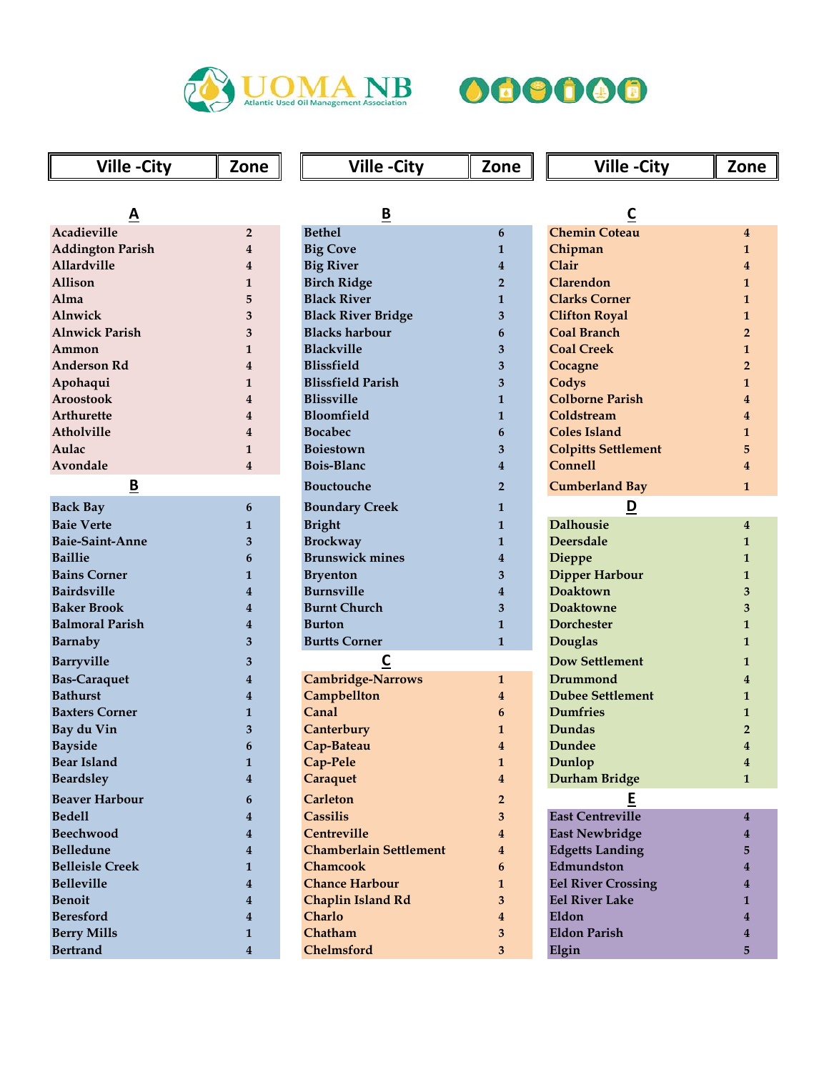



| <b>Ville-City</b>       | Zone                    | <b>Ville-City</b>             | Zone                    | <b>Ville-City</b>          | Zone           |
|-------------------------|-------------------------|-------------------------------|-------------------------|----------------------------|----------------|
|                         |                         |                               |                         |                            |                |
| A                       |                         | $\underline{\mathsf{B}}$      |                         | C                          |                |
| Acadieville             | $\overline{2}$          | <b>Bethel</b>                 | 6                       | <b>Chemin Coteau</b>       | $\overline{4}$ |
| <b>Addington Parish</b> | 4                       | <b>Big Cove</b>               | $\mathbf{1}$            | Chipman                    | $\mathbf{1}$   |
| <b>Allardville</b>      | 4                       | <b>Big River</b>              | 4                       | Clair                      | 4              |
| Allison                 | 1                       | <b>Birch Ridge</b>            | $\overline{2}$          | Clarendon                  | 1              |
| Alma                    | 5                       | <b>Black River</b>            | 1                       | <b>Clarks Corner</b>       | $\mathbf{1}$   |
| Alnwick                 | 3                       | <b>Black River Bridge</b>     | 3                       | <b>Clifton Royal</b>       | $\mathbf{1}$   |
| <b>Alnwick Parish</b>   | 3                       | <b>Blacks harbour</b>         | 6                       | <b>Coal Branch</b>         | $\overline{2}$ |
| Ammon                   | 1                       | <b>Blackville</b>             | 3                       | <b>Coal Creek</b>          | $\mathbf{1}$   |
| <b>Anderson Rd</b>      | 4                       | <b>Blissfield</b>             | 3                       | Cocagne                    | $\overline{2}$ |
| Apohaqui                | 1                       | <b>Blissfield Parish</b>      | 3                       | Codys                      | $\mathbf{1}$   |
| <b>Aroostook</b>        | 4                       | <b>Blissville</b>             | $\mathbf{1}$            | <b>Colborne Parish</b>     | 4              |
| Arthurette              | 4                       | Bloomfield                    | $\mathbf{1}$            | Coldstream                 | 4              |
| Atholville              | 4                       | <b>Bocabec</b>                | 6                       | <b>Coles Island</b>        | $\mathbf{1}$   |
| Aulac                   | 1                       | <b>Boiestown</b>              | 3                       | <b>Colpitts Settlement</b> | 5              |
| Avondale                | 4                       | <b>Bois-Blanc</b>             | $\overline{\mathbf{4}}$ | <b>Connell</b>             | 4              |
| B                       |                         | <b>Bouctouche</b>             | $\overline{2}$          | <b>Cumberland Bay</b>      | $\mathbf{1}$   |
| <b>Back Bay</b>         | 6                       | <b>Boundary Creek</b>         | 1                       | $\overline{\mathbf{D}}$    |                |
| <b>Baie Verte</b>       | 1                       | <b>Bright</b>                 | $\mathbf{1}$            | <b>Dalhousie</b>           | 4              |
| <b>Baie-Saint-Anne</b>  | 3                       | <b>Brockway</b>               | $\mathbf{1}$            | <b>Deersdale</b>           | $\mathbf{1}$   |
| <b>Baillie</b>          | 6                       | <b>Brunswick mines</b>        | 4                       | <b>Dieppe</b>              | 1              |
| <b>Bains Corner</b>     | 1                       | <b>Bryenton</b>               | 3                       | <b>Dipper Harbour</b>      | $\mathbf{1}$   |
| <b>Bairdsville</b>      | 4                       | <b>Burnsville</b>             | $\overline{4}$          | <b>Doaktown</b>            | 3              |
| <b>Baker Brook</b>      | 4                       | <b>Burnt Church</b>           | 3                       | <b>Doaktowne</b>           | 3              |
| <b>Balmoral Parish</b>  | 4                       | <b>Burton</b>                 | $\mathbf{1}$            | <b>Dorchester</b>          | $\mathbf{1}$   |
| Barnaby                 | 3                       | <b>Burtts Corner</b>          | $\mathbf{1}$            | <b>Douglas</b>             | $\mathbf{1}$   |
| <b>Barryville</b>       | 3                       | $\overline{\mathsf{C}}$       |                         | <b>Dow Settlement</b>      | 1              |
| <b>Bas-Caraquet</b>     | 4                       | <b>Cambridge-Narrows</b>      | $\mathbf{1}$            | Drummond                   | 4              |
| <b>Bathurst</b>         | 4                       | Campbellton                   | $\overline{4}$          | <b>Dubee Settlement</b>    | $\mathbf{1}$   |
| <b>Baxters Corner</b>   | 1                       | Canal                         | 6                       | <b>Dumfries</b>            | $\mathbf{1}$   |
| Bay du Vin              | 3                       | Canterbury                    | 1                       | Dundas                     | $\overline{2}$ |
| <b>Bayside</b>          | 6                       | Cap-Bateau                    | $\overline{4}$          | Dundee                     | 4              |
| <b>Bear Island</b>      | $\mathbf{1}$            | Cap-Pele                      | $\mathbf{1}$            | Dunlop                     | $\bf{4}$       |
| <b>Beardsley</b>        | $\overline{\mathbf{4}}$ | Caraquet                      | $\overline{\mathbf{4}}$ | Durham Bridge              | $\mathbf{1}$   |
| <b>Beaver Harbour</b>   | 6                       | <b>Carleton</b>               | $\mathbf{2}$            | E                          |                |
| <b>Bedell</b>           | 4                       | <b>Cassilis</b>               | 3                       | <b>East Centreville</b>    | $\overline{4}$ |
| <b>Beechwood</b>        | 4                       | Centreville                   | $\overline{4}$          | <b>East Newbridge</b>      | 4              |
| <b>Belledune</b>        | 4                       | <b>Chamberlain Settlement</b> | $\bf{4}$                | <b>Edgetts Landing</b>     | 5.             |
| <b>Belleisle Creek</b>  | 1                       | <b>Chamcook</b>               | 6                       | Edmundston                 |                |
| <b>Belleville</b>       | $\overline{\mathbf{4}}$ | <b>Chance Harbour</b>         | 1                       | <b>Eel River Crossing</b>  | 4              |
| <b>Benoit</b>           | 4                       | Chaplin Island Rd             | 3                       | <b>Eel River Lake</b>      | $\mathbf{1}$   |
| <b>Beresford</b>        | 4                       | Charlo                        | $\boldsymbol{4}$        | Eldon                      | 4              |
| <b>Berry Mills</b>      | 1                       | Chatham                       | 3                       | <b>Eldon Parish</b>        |                |
| <b>Bertrand</b>         | $\overline{\mathbf{4}}$ | Chelmsford                    | 3 <sup>5</sup>          | Elgin                      | 5              |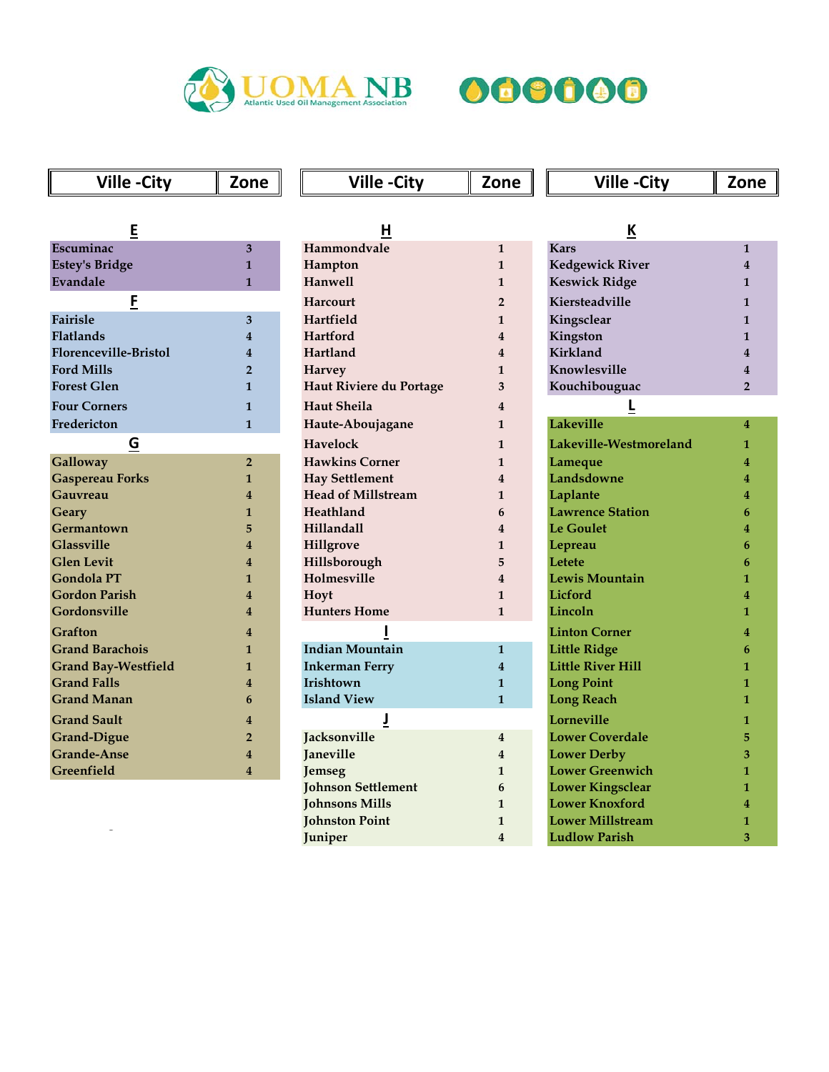



## Ville -City Zone Ville -City Zone Ville -City Zone

| Ε                            |                |
|------------------------------|----------------|
| Escuminac                    | 3              |
| <b>Estey's Bridge</b>        | 1              |
| Evandale                     | 1              |
| <u>F</u>                     |                |
| <b>Fairisle</b>              | 3              |
| <b>Flatlands</b>             | 4              |
| <b>Florenceville-Bristol</b> | 4              |
| <b>Ford Mills</b>            | $\overline{2}$ |
| <b>Forest Glen</b>           | 1              |
| <b>Four Corners</b>          | 1              |
| Fredericton                  | 1              |
| G                            |                |
| Galloway                     | $\overline{2}$ |
| <b>Gaspereau Forks</b>       | 1              |
| Gauvreau                     | 4              |
| Geary                        | 1              |
| Germantown                   | 5              |
| <b>Glassville</b>            | 4              |
| <b>Glen Levit</b>            | 4              |
| <b>Gondola PT</b>            | 1              |
| <b>Gordon Parish</b>         | 4              |
| Gordonsville                 | 4              |
| Grafton                      | 4              |
| <b>Grand Barachois</b>       | 1              |
| <b>Grand Bay-Westfield</b>   | 1              |
| <b>Grand Falls</b>           | 4              |
| <b>Grand Manan</b>           | 6              |
| <b>Grand Sault</b>           | 4              |
| <b>Grand-Digue</b>           | $\overline{2}$ |
| <b>Grande-Anse</b>           | 4              |
| Greenfield                   | 4              |

| E                          |                         | Н                         |                         | <u>K</u>                 |                |
|----------------------------|-------------------------|---------------------------|-------------------------|--------------------------|----------------|
| Escuminac                  | 3                       | Hammondvale               | $\mathbf{1}$            | <b>Kars</b>              | 1              |
| <b>Estey's Bridge</b>      | $\mathbf{1}$            | Hampton                   | $\mathbf{1}$            | <b>Kedgewick River</b>   |                |
| Evandale                   | $\mathbf{1}$            | Hanwell                   | $\mathbf{1}$            | <b>Keswick Ridge</b>     | 1              |
| E                          |                         | Harcourt                  | $\overline{2}$          | Kiersteadville           | 1              |
| Fairisle                   | 3                       | Hartfield                 | $\mathbf{1}$            | Kingsclear               | 1              |
| <b>Flatlands</b>           | $\overline{4}$          | Hartford                  | 4                       | Kingston                 | 1              |
| Florenceville-Bristol      | 4                       | Hartland                  | 4                       | Kirkland                 | 4              |
| <b>Ford Mills</b>          | $\overline{2}$          | Harvey                    | $\mathbf{1}$            | Knowlesville             |                |
| <b>Forest Glen</b>         | $\mathbf{1}$            | Haut Riviere du Portage   | 3                       | Kouchibouguac            | $\overline{2}$ |
| <b>Four Corners</b>        | $\mathbf{1}$            | <b>Haut Sheila</b>        | 4                       |                          |                |
| Fredericton                | $\mathbf{1}$            | Haute-Aboujagane          | $\mathbf{1}$            | Lakeville                | 4              |
| G                          |                         | Havelock                  | $\mathbf{1}$            | Lakeville-Westmoreland   | 1              |
| Galloway                   | $\overline{2}$          | <b>Hawkins Corner</b>     | $\mathbf{1}$            | Lameque                  |                |
| <b>Gaspereau Forks</b>     | $\mathbf{1}$            | <b>Hay Settlement</b>     | 4                       | Landsdowne               | 4              |
| Gauvreau                   | $\overline{\mathbf{4}}$ | <b>Head of Millstream</b> | $\mathbf{1}$            | Laplante                 |                |
| Geary                      | $\mathbf{1}$            | Heathland                 | 6                       | <b>Lawrence Station</b>  |                |
| Germantown                 | 5                       | Hillandall                | 4                       | <b>Le Goulet</b>         |                |
| <b>Glassville</b>          | 4                       | Hillgrove                 | $\mathbf{1}$            | Lepreau                  | 6              |
| <b>Glen Levit</b>          | 4                       | Hillsborough              | 5                       | Letete                   | 6              |
| <b>Gondola PT</b>          | $\mathbf{1}$            | Holmesville               | $\overline{\mathbf{4}}$ | <b>Lewis Mountain</b>    |                |
| <b>Gordon Parish</b>       | 4                       | Hoyt                      | $\mathbf{1}$            | <b>Licford</b>           |                |
| Gordonsville               | 4                       | <b>Hunters Home</b>       | $\mathbf{1}$            | Lincoln                  | 1              |
| Grafton                    | 4                       |                           |                         | <b>Linton Corner</b>     |                |
| <b>Grand Barachois</b>     | 1                       | <b>Indian Mountain</b>    | $\mathbf{1}$            | <b>Little Ridge</b>      |                |
| <b>Grand Bay-Westfield</b> | 1                       | <b>Inkerman Ferry</b>     | $\overline{4}$          | <b>Little River Hill</b> |                |
| <b>Grand Falls</b>         | 4                       | Irishtown                 | $\mathbf{1}$            | <b>Long Point</b>        | 1              |
| <b>Grand Manan</b>         | 6                       | <b>Island View</b>        | $\mathbf{1}$            | <b>Long Reach</b>        | 1              |
| <b>Grand Sault</b>         | 4                       | J                         |                         | Lorneville               | 1              |
| <b>Grand-Digue</b>         | $\overline{2}$          | Jacksonville              | $\overline{4}$          | <b>Lower Coverdale</b>   |                |
| <b>Grande-Anse</b>         | 4                       | <b>Janeville</b>          | $\overline{4}$          | <b>Lower Derby</b>       |                |
| Greenfield                 | $\overline{4}$          | Jemseg                    | $\mathbf{1}$            | <b>Lower Greenwich</b>   |                |
|                            |                         | <b>Johnson Settlement</b> | 6                       | <b>Lower Kingsclear</b>  |                |
|                            |                         | <b>Johnsons Mills</b>     | $\mathbf{1}$            | <b>Lower Knoxford</b>    |                |
|                            |                         | <b>Johnston Point</b>     | $\mathbf{1}$            | <b>Lower Millstream</b>  |                |
|                            |                         | Juniper                   | 4                       | <b>Ludlow Parish</b>     | 3              |

| ĸ                        |                         |
|--------------------------|-------------------------|
| <b>Kars</b>              | $\mathbf{1}$            |
| <b>Kedgewick River</b>   | $\overline{\mathbf{4}}$ |
| <b>Keswick Ridge</b>     | 1                       |
| <b>Kiersteadville</b>    | $\mathbf{1}$            |
| Kingsclear               | $\mathbf{1}$            |
| Kingston                 | $\mathbf{1}$            |
| <b>Kirkland</b>          | $\overline{\mathbf{A}}$ |
| Knowlesville             | $\overline{\mathbf{A}}$ |
| Kouchibouguac            | $\overline{2}$          |
| Ē                        |                         |
| <b>Lakeville</b>         | 4                       |
| Lakeville-Westmoreland   | 1                       |
| Lameque                  | 4                       |
| Landsdowne               | 4                       |
| Laplante                 | 4                       |
| <b>Lawrence Station</b>  | 6                       |
| <b>Le Goulet</b>         | 4                       |
| Lepreau                  | 6                       |
| Letete                   | 6                       |
| <b>Lewis Mountain</b>    | 1                       |
| Licford                  | 4                       |
| Lincoln                  | $\mathbf{1}$            |
| <b>Linton Corner</b>     | 4                       |
| <b>Little Ridge</b>      | 6                       |
| <b>Little River Hill</b> | 1                       |
| <b>Long Point</b>        | 1                       |
| <b>Long Reach</b>        | 1                       |
| Lorneville               | 1                       |
| <b>Lower Coverdale</b>   | 5                       |
| <b>Lower Derby</b>       | 3                       |
| <b>Lower Greenwich</b>   | 1                       |
| <b>Lower Kingsclear</b>  | 1                       |
| <b>Lower Knoxford</b>    | 4                       |
| <b>Lower Millstream</b>  | 1                       |
| <b>Ludlow Parish</b>     | 3                       |
|                          |                         |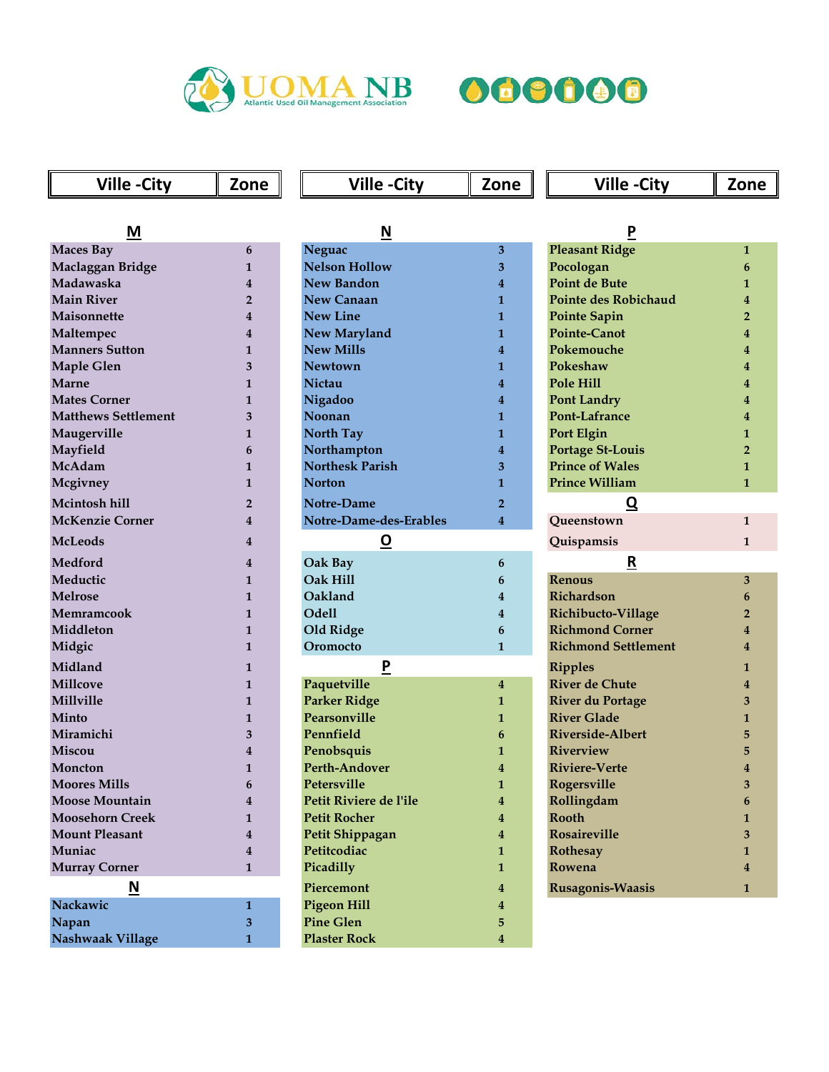



## **Ville -City** Zone **Ville -City** Zone **Ville -City** Zone

| М                       |
|-------------------------|
| <b>Maces Bay</b>        |
| Maclaggan Bridge        |
| Madawaska               |
| <b>Main River</b>       |
| Maisonnette             |
| Maltempec               |
| <b>Manners Sutton</b>   |
| <b>Maple Glen</b>       |
| Marne                   |
| <b>Mates Corner</b>     |
| Matthews Settlement     |
| Maugerville             |
| <b>Mayfield</b>         |
| McAdam                  |
| <b>Mcgivney</b>         |
| <b>Mcintosh hill</b>    |
| <b>McKenzie Corner</b>  |
| <b>McLeods</b>          |
| <b>Medford</b>          |
| Meductic                |
| <b>Melrose</b>          |
| Memramcook              |
| Middleton               |
| Midgic                  |
| Midland                 |
| Millcove                |
| Millville               |
| Minto                   |
| Miramichi               |
| Miscou                  |
| Moncton                 |
| <b>Moores Mills</b>     |
| <b>Moose Mountain</b>   |
| <b>Moosehorn Creek</b>  |
| <b>Mount Pleasant</b>   |
| Muniac                  |
| <b>Murray Corner</b>    |
| N                       |
| Nackawic                |
| Napan                   |
| <b>Nashwaak Village</b> |

| M                          |                         | $\underline{\mathsf{N}}$ |                         | $\overline{P}$              |              |
|----------------------------|-------------------------|--------------------------|-------------------------|-----------------------------|--------------|
| <b>Maces Bay</b>           | 6                       | Neguac                   | 3                       | <b>Pleasant Ridge</b>       | 1            |
| Maclaggan Bridge           | 1                       | <b>Nelson Hollow</b>     | 3                       | Pocologan                   | 6            |
| Madawaska                  | $\bf{4}$                | <b>New Bandon</b>        | $\overline{4}$          | <b>Point de Bute</b>        | 1            |
| <b>Main River</b>          | $\overline{2}$          | <b>New Canaan</b>        | $\mathbf{1}$            | <b>Pointe des Robichaud</b> |              |
| Maisonnette                | 4                       | <b>New Line</b>          | $\mathbf{1}$            | <b>Pointe Sapin</b>         |              |
| Maltempec                  | 4                       | New Maryland             | $\mathbf{1}$            | Pointe-Canot                |              |
| <b>Manners Sutton</b>      | 1                       | <b>New Mills</b>         | $\overline{4}$          | Pokemouche                  |              |
| Maple Glen                 | 3                       | <b>Newtown</b>           | $\mathbf{1}$            | Pokeshaw                    |              |
| Marne                      | 1                       | Nictau                   | $\overline{4}$          | Pole Hill                   |              |
| <b>Mates Corner</b>        | 1                       | Nigadoo                  | $\overline{4}$          | <b>Pont Landry</b>          |              |
| <b>Matthews Settlement</b> | 3                       | Noonan                   | 1                       | Pont-Lafrance               |              |
| Maugerville                | 1                       | <b>North Tay</b>         | 1                       | Port Elgin                  |              |
| Mayfield                   | 6                       | Northampton              | $\overline{4}$          | <b>Portage St-Louis</b>     |              |
| McAdam                     | 1                       | <b>Northesk Parish</b>   | 3                       | <b>Prince of Wales</b>      |              |
| Mcgivney                   | $\mathbf{1}$            | <b>Norton</b>            | $\mathbf{1}$            | <b>Prince William</b>       | 1            |
| Mcintosh hill              | $\overline{2}$          | Notre-Dame               | $\overline{2}$          | $\overline{\mathbf{Q}}$     |              |
| <b>McKenzie Corner</b>     | $\bf{4}$                | Notre-Dame-des-Erables   | $\overline{4}$          | Queenstown                  | $\mathbf{1}$ |
| McLeods                    | 4                       | <u> ଦ</u>                |                         | Quispamsis                  | $\mathbf{1}$ |
| <b>Medford</b>             | $\overline{\mathbf{4}}$ | Oak Bay                  | 6                       | R                           |              |
| Meductic                   | $\mathbf{1}$            | Oak Hill                 | 6                       | <b>Renous</b>               | 3            |
| <b>Melrose</b>             | $\mathbf{1}$            | Oakland                  | $\overline{4}$          | Richardson                  | 6            |
| Memramcook                 | $\mathbf{1}$            | <b>Odell</b>             | $\overline{4}$          | Richibucto-Village          |              |
| Middleton                  | $\mathbf{1}$            | Old Ridge                | 6                       | <b>Richmond Corner</b>      |              |
| Midgic                     | $\mathbf{1}$            | Oromocto                 | $\mathbf{1}$            | <b>Richmond Settlement</b>  |              |
| Midland                    | 1                       | P                        |                         | <b>Ripples</b>              | 1            |
| <b>Millcove</b>            | 1                       | Paquetville              | $\overline{4}$          | <b>River de Chute</b>       |              |
| Millville                  | $\mathbf{1}$            | <b>Parker Ridge</b>      | $\mathbf{1}$            | <b>River du Portage</b>     |              |
| Minto                      | $\mathbf{1}$            | Pearsonville             | $\mathbf{1}$            | <b>River Glade</b>          |              |
| Miramichi                  | 3                       | Pennfield                | 6                       | <b>Riverside-Albert</b>     |              |
| Miscou                     | $\overline{\mathbf{4}}$ | Penobsquis               | $\mathbf{1}$            | <b>Riverview</b>            |              |
| Moncton                    | $\mathbf{1}$            | Perth-Andover            | 4                       | <b>Riviere-Verte</b>        |              |
| <b>Moores Mills</b>        | 6                       | Petersville              | $\mathbf{1}$            | Rogersville                 |              |
| <b>Moose Mountain</b>      | 4                       | Petit Riviere de l'ile   | 4                       | Rollingdam                  |              |
| <b>Moosehorn Creek</b>     | 1                       | <b>Petit Rocher</b>      | 4                       | <b>Rooth</b>                | 1            |
| <b>Mount Pleasant</b>      | 4                       | Petit Shippagan          | 4                       | Rosaireville                |              |
| Muniac                     | $\overline{\mathbf{4}}$ | Petitcodiac              | $\mathbf{1}$            | Rothesay                    | 1            |
| <b>Murray Corner</b>       | $\mathbf{1}$            | Picadilly                | $\mathbf{1}$            | Rowena                      |              |
| $\underline{\mathsf{N}}$   |                         | Piercemont               | 4                       | Rusagonis-Waasis            | $\mathbf{1}$ |
| Nackawic                   | $\mathbf{1}$            | <b>Pigeon Hill</b>       | $\bf{4}$                |                             |              |
| Napan                      | 3                       | <b>Pine Glen</b>         | 5                       |                             |              |
| Nashwaak Village           | $\mathbf{1}$            | <b>Plaster Rock</b>      | $\overline{\mathbf{4}}$ |                             |              |

| Ρ                           |                         |
|-----------------------------|-------------------------|
| <b>Pleasant Ridge</b>       | $\mathbf{1}$            |
| Pocologan                   | 6                       |
| <b>Point de Bute</b>        | $\mathbf{1}$            |
| <b>Pointe des Robichaud</b> | $\overline{\mathbf{4}}$ |
| <b>Pointe Sapin</b>         | $\overline{2}$          |
| Pointe-Canot                | $\overline{\mathbf{4}}$ |
| Pokemouche                  | 4                       |
| Pokeshaw                    | $\overline{4}$          |
| Pole Hill                   | 4                       |
| <b>Pont Landry</b>          | 4                       |
| Pont-Lafrance               | 4                       |
| <b>Port Elgin</b>           | $\mathbf{1}$            |
| <b>Portage St-Louis</b>     | $\overline{2}$          |
| <b>Prince of Wales</b>      | $\mathbf{1}$            |
| <b>Prince William</b>       | $\mathbf{1}$            |
| Q                           |                         |
| Queenstown                  | $\mathbf{1}$            |
| Quispamsis                  | $\mathbf{1}$            |
| R                           |                         |
|                             |                         |
| <b>Renous</b>               | 3                       |
| <b>Richardson</b>           | 6                       |
| Richibucto-Village          | $\overline{2}$          |
| <b>Richmond Corner</b>      | 4                       |
| <b>Richmond Settlement</b>  | 4                       |
| <b>Ripples</b>              | $\mathbf{1}$            |
| <b>River de Chute</b>       | $\overline{\mathbf{4}}$ |
| <b>River du Portage</b>     | 3                       |
| <b>River Glade</b>          | $\mathbf{1}$            |
| <b>Riverside-Albert</b>     | 5                       |
| <b>Riverview</b>            | 5                       |
| <b>Riviere-Verte</b>        | $\overline{\mathbf{4}}$ |
| Rogersville                 | 3                       |
| Rollingdam                  | 6                       |
| <b>Rooth</b>                | $\mathbf{1}$            |
| <b>Rosaireville</b>         | 3                       |
| <b>Rothesay</b>             | $\mathbf{1}$            |
| Rowena                      | 4                       |